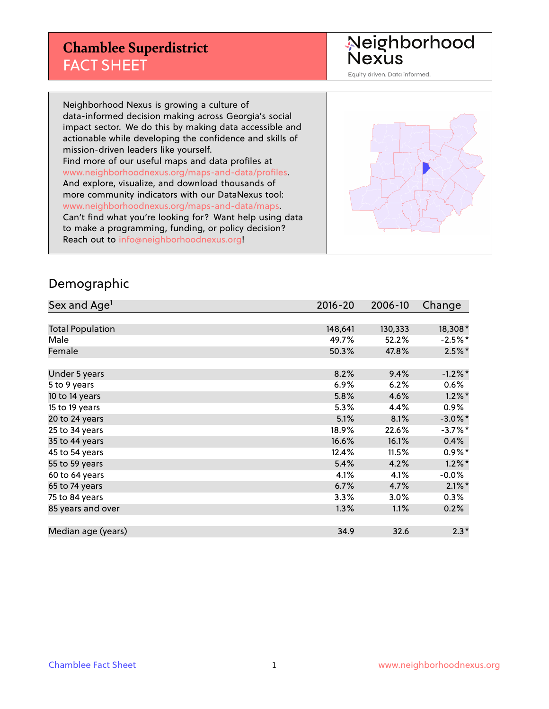## **Chamblee Superdistrict** FACT SHEET

Neighborhood<br>Nexus

Equity driven. Data informed.

Neighborhood Nexus is growing a culture of data-informed decision making across Georgia's social impact sector. We do this by making data accessible and actionable while developing the confidence and skills of mission-driven leaders like yourself. Find more of our useful maps and data profiles at www.neighborhoodnexus.org/maps-and-data/profiles. And explore, visualize, and download thousands of more community indicators with our DataNexus tool: www.neighborhoodnexus.org/maps-and-data/maps. Can't find what you're looking for? Want help using data to make a programming, funding, or policy decision? Reach out to [info@neighborhoodnexus.org!](mailto:info@neighborhoodnexus.org)



#### Demographic

| Sex and Age <sup>1</sup> | $2016 - 20$ | 2006-10 | Change     |
|--------------------------|-------------|---------|------------|
|                          |             |         |            |
| <b>Total Population</b>  | 148,641     | 130,333 | 18,308*    |
| Male                     | 49.7%       | 52.2%   | $-2.5%$ *  |
| Female                   | 50.3%       | 47.8%   | $2.5\%$ *  |
|                          |             |         |            |
| Under 5 years            | 8.2%        | 9.4%    | $-1.2\%$ * |
| 5 to 9 years             | $6.9\%$     | 6.2%    | 0.6%       |
| 10 to 14 years           | 5.8%        | 4.6%    | $1.2\%$ *  |
| 15 to 19 years           | 5.3%        | 4.4%    | $0.9\%$    |
| 20 to 24 years           | 5.1%        | 8.1%    | $-3.0\%$ * |
| 25 to 34 years           | 18.9%       | 22.6%   | $-3.7%$ *  |
| 35 to 44 years           | 16.6%       | 16.1%   | 0.4%       |
| 45 to 54 years           | 12.4%       | 11.5%   | $0.9\%$ *  |
| 55 to 59 years           | 5.4%        | 4.2%    | $1.2\%$ *  |
| 60 to 64 years           | 4.1%        | 4.1%    | $-0.0%$    |
| 65 to 74 years           | 6.7%        | 4.7%    | $2.1\%$ *  |
| 75 to 84 years           | 3.3%        | 3.0%    | $0.3\%$    |
| 85 years and over        | 1.3%        | 1.1%    | 0.2%       |
|                          |             |         |            |
| Median age (years)       | 34.9        | 32.6    | $2.3*$     |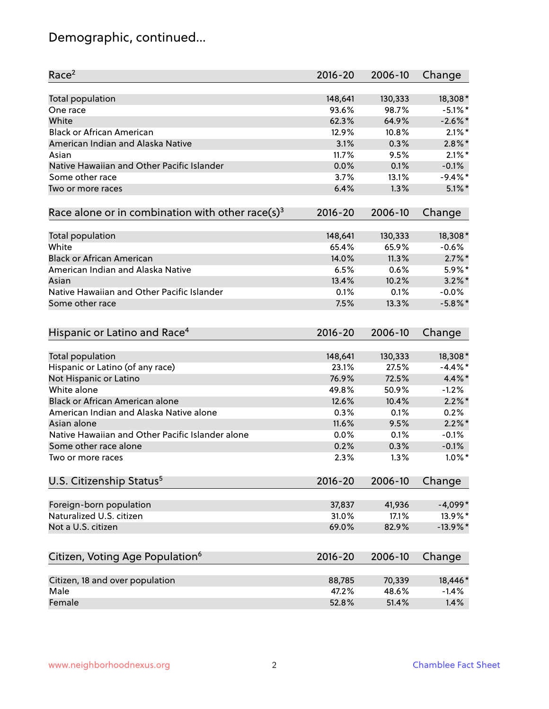# Demographic, continued...

| Race <sup>2</sup>                                            | $2016 - 20$ | 2006-10 | Change      |
|--------------------------------------------------------------|-------------|---------|-------------|
| <b>Total population</b>                                      | 148,641     | 130,333 | 18,308*     |
| One race                                                     | 93.6%       | 98.7%   | $-5.1\%$ *  |
| White                                                        | 62.3%       | 64.9%   | $-2.6\%$ *  |
| <b>Black or African American</b>                             | 12.9%       | 10.8%   | $2.1\%$ *   |
| American Indian and Alaska Native                            | 3.1%        | 0.3%    | $2.8\%$ *   |
| Asian                                                        | 11.7%       | 9.5%    | $2.1\%$ *   |
| Native Hawaiian and Other Pacific Islander                   | 0.0%        | 0.1%    | $-0.1%$     |
| Some other race                                              | 3.7%        | 13.1%   | $-9.4\%$ *  |
| Two or more races                                            | 6.4%        | 1.3%    | $5.1\%$ *   |
| Race alone or in combination with other race(s) <sup>3</sup> | $2016 - 20$ | 2006-10 | Change      |
| Total population                                             | 148,641     | 130,333 | 18,308*     |
| White                                                        | 65.4%       | 65.9%   | $-0.6%$     |
| <b>Black or African American</b>                             | 14.0%       | 11.3%   | $2.7\%$ *   |
| American Indian and Alaska Native                            | 6.5%        | 0.6%    | 5.9%*       |
| Asian                                                        | 13.4%       | 10.2%   | $3.2\%$ *   |
| Native Hawaiian and Other Pacific Islander                   | 0.1%        | 0.1%    | $-0.0%$     |
| Some other race                                              | 7.5%        | 13.3%   | $-5.8\%$ *  |
| Hispanic or Latino and Race <sup>4</sup>                     | $2016 - 20$ | 2006-10 | Change      |
| <b>Total population</b>                                      | 148,641     | 130,333 | 18,308*     |
| Hispanic or Latino (of any race)                             | 23.1%       | 27.5%   | $-4.4\%$ *  |
| Not Hispanic or Latino                                       | 76.9%       | 72.5%   | 4.4%*       |
| White alone                                                  | 49.8%       | 50.9%   | $-1.2%$     |
| <b>Black or African American alone</b>                       | 12.6%       | 10.4%   | $2.2\%$ *   |
| American Indian and Alaska Native alone                      | 0.3%        | 0.1%    | 0.2%        |
| Asian alone                                                  | 11.6%       | 9.5%    | $2.2\%$ *   |
| Native Hawaiian and Other Pacific Islander alone             | 0.0%        | 0.1%    | $-0.1%$     |
| Some other race alone                                        | 0.2%        | 0.3%    | $-0.1%$     |
| Two or more races                                            | 2.3%        | 1.3%    | $1.0\%$ *   |
| U.S. Citizenship Status <sup>5</sup>                         | $2016 - 20$ | 2006-10 | Change      |
|                                                              |             |         |             |
| Foreign-born population                                      | 37,837      | 41,936  | $-4,099*$   |
| Naturalized U.S. citizen                                     | 31.0%       | 17.1%   | 13.9%*      |
| Not a U.S. citizen                                           | 69.0%       | 82.9%   | $-13.9\%$ * |
| Citizen, Voting Age Population <sup>6</sup>                  | $2016 - 20$ | 2006-10 | Change      |
| Citizen, 18 and over population                              | 88,785      | 70,339  | 18,446*     |
| Male                                                         | 47.2%       | 48.6%   | $-1.4%$     |
| Female                                                       | 52.8%       | 51.4%   | 1.4%        |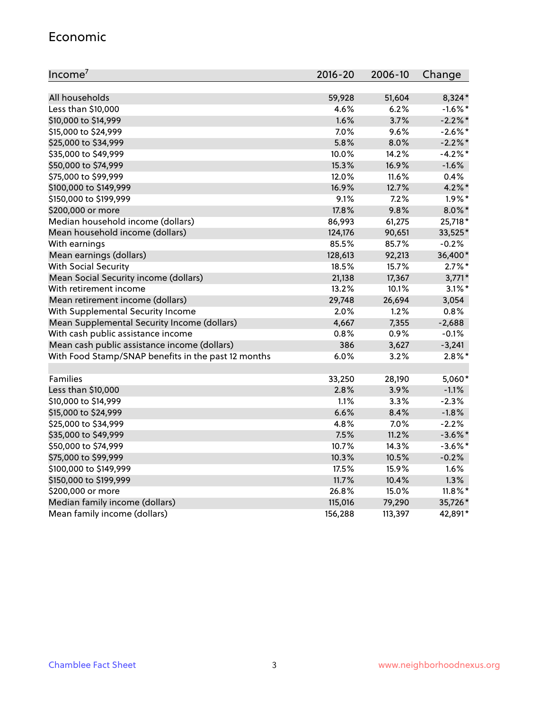#### Economic

| Income <sup>7</sup>                                 | 2016-20 | 2006-10 | Change     |
|-----------------------------------------------------|---------|---------|------------|
|                                                     |         |         |            |
| All households                                      | 59,928  | 51,604  | 8,324*     |
| Less than \$10,000                                  | 4.6%    | 6.2%    | $-1.6\%$ * |
| \$10,000 to \$14,999                                | 1.6%    | 3.7%    | $-2.2\%$ * |
| \$15,000 to \$24,999                                | 7.0%    | 9.6%    | $-2.6\%$ * |
| \$25,000 to \$34,999                                | 5.8%    | 8.0%    | $-2.2%$ *  |
| \$35,000 to \$49,999                                | 10.0%   | 14.2%   | $-4.2%$ *  |
| \$50,000 to \$74,999                                | 15.3%   | 16.9%   | $-1.6%$    |
| \$75,000 to \$99,999                                | 12.0%   | 11.6%   | 0.4%       |
| \$100,000 to \$149,999                              | 16.9%   | 12.7%   | $4.2\%$ *  |
| \$150,000 to \$199,999                              | 9.1%    | 7.2%    | $1.9\%$ *  |
| \$200,000 or more                                   | 17.8%   | 9.8%    | $8.0\%$ *  |
| Median household income (dollars)                   | 86,993  | 61,275  | 25,718*    |
| Mean household income (dollars)                     | 124,176 | 90,651  | 33,525*    |
| With earnings                                       | 85.5%   | 85.7%   | $-0.2%$    |
| Mean earnings (dollars)                             | 128,613 | 92,213  | 36,400*    |
| <b>With Social Security</b>                         | 18.5%   | 15.7%   | $2.7\%$ *  |
| Mean Social Security income (dollars)               | 21,138  | 17,367  | $3,771*$   |
| With retirement income                              | 13.2%   | 10.1%   | $3.1\%$ *  |
| Mean retirement income (dollars)                    | 29,748  | 26,694  | 3,054      |
| With Supplemental Security Income                   | 2.0%    | 1.2%    | 0.8%       |
| Mean Supplemental Security Income (dollars)         | 4,667   | 7,355   | $-2,688$   |
| With cash public assistance income                  | 0.8%    | 0.9%    | $-0.1%$    |
| Mean cash public assistance income (dollars)        | 386     | 3,627   | $-3,241$   |
| With Food Stamp/SNAP benefits in the past 12 months | 6.0%    | 3.2%    | $2.8\%$ *  |
|                                                     |         |         |            |
| Families                                            | 33,250  | 28,190  | 5,060*     |
| Less than \$10,000                                  | 2.8%    | 3.9%    | $-1.1%$    |
| \$10,000 to \$14,999                                | 1.1%    | 3.3%    | $-2.3%$    |
| \$15,000 to \$24,999                                | 6.6%    | 8.4%    | $-1.8%$    |
| \$25,000 to \$34,999                                | 4.8%    | 7.0%    | $-2.2%$    |
| \$35,000 to \$49,999                                | 7.5%    | 11.2%   | $-3.6\%$ * |
| \$50,000 to \$74,999                                | 10.7%   | 14.3%   | $-3.6\%$ * |
| \$75,000 to \$99,999                                | 10.3%   | 10.5%   | $-0.2%$    |
| \$100,000 to \$149,999                              | 17.5%   | 15.9%   | 1.6%       |
| \$150,000 to \$199,999                              | 11.7%   | 10.4%   | 1.3%       |
| \$200,000 or more                                   | 26.8%   | 15.0%   | $11.8\%$ * |
| Median family income (dollars)                      | 115,016 | 79,290  | 35,726*    |
| Mean family income (dollars)                        | 156,288 | 113,397 | 42,891*    |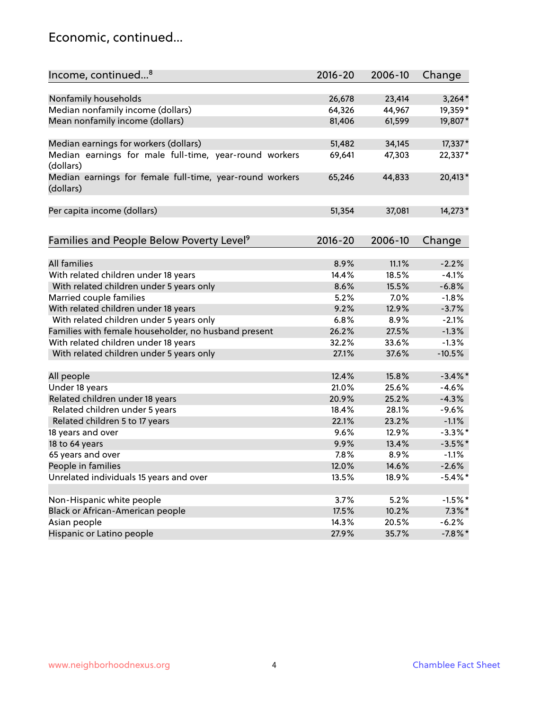### Economic, continued...

| Income, continued <sup>8</sup>                                        | $2016 - 20$ | 2006-10 | Change     |
|-----------------------------------------------------------------------|-------------|---------|------------|
|                                                                       |             |         |            |
| Nonfamily households                                                  | 26,678      | 23,414  | $3,264*$   |
| Median nonfamily income (dollars)                                     | 64,326      | 44,967  | 19,359*    |
| Mean nonfamily income (dollars)                                       | 81,406      | 61,599  | 19,807*    |
| Median earnings for workers (dollars)                                 | 51,482      | 34,145  | 17,337*    |
| Median earnings for male full-time, year-round workers                | 69,641      | 47,303  | 22,337*    |
| (dollars)                                                             |             |         |            |
| Median earnings for female full-time, year-round workers<br>(dollars) | 65,246      | 44,833  | 20,413*    |
| Per capita income (dollars)                                           | 51,354      | 37,081  | 14,273*    |
|                                                                       |             |         |            |
| Families and People Below Poverty Level <sup>9</sup>                  | 2016-20     | 2006-10 | Change     |
| <b>All families</b>                                                   |             |         |            |
|                                                                       | 8.9%        | 11.1%   | $-2.2%$    |
| With related children under 18 years                                  | 14.4%       | 18.5%   | $-4.1%$    |
| With related children under 5 years only                              | 8.6%        | 15.5%   | $-6.8%$    |
| Married couple families                                               | 5.2%        | 7.0%    | $-1.8%$    |
| With related children under 18 years                                  | 9.2%        | 12.9%   | $-3.7%$    |
| With related children under 5 years only                              | 6.8%        | 8.9%    | $-2.1%$    |
| Families with female householder, no husband present                  | 26.2%       | 27.5%   | $-1.3%$    |
| With related children under 18 years                                  | 32.2%       | 33.6%   | $-1.3%$    |
| With related children under 5 years only                              | 27.1%       | 37.6%   | $-10.5%$   |
| All people                                                            | 12.4%       | 15.8%   | $-3.4\%$ * |
| Under 18 years                                                        | 21.0%       | 25.6%   | $-4.6%$    |
| Related children under 18 years                                       | 20.9%       | 25.2%   | $-4.3%$    |
| Related children under 5 years                                        | 18.4%       | 28.1%   | $-9.6%$    |
| Related children 5 to 17 years                                        | 22.1%       | 23.2%   | $-1.1%$    |
| 18 years and over                                                     | 9.6%        | 12.9%   | $-3.3\%$ * |
| 18 to 64 years                                                        | 9.9%        | 13.4%   | $-3.5%$ *  |
| 65 years and over                                                     | 7.8%        | 8.9%    | $-1.1%$    |
| People in families                                                    | 12.0%       | 14.6%   | $-2.6%$    |
| Unrelated individuals 15 years and over                               | 13.5%       | 18.9%   | $-5.4\%$ * |
|                                                                       |             |         |            |
| Non-Hispanic white people                                             | 3.7%        | 5.2%    | $-1.5%$ *  |
| Black or African-American people                                      | 17.5%       | 10.2%   | $7.3\%$ *  |
| Asian people                                                          | 14.3%       | 20.5%   | $-6.2%$    |
| Hispanic or Latino people                                             | 27.9%       | 35.7%   | $-7.8\%$ * |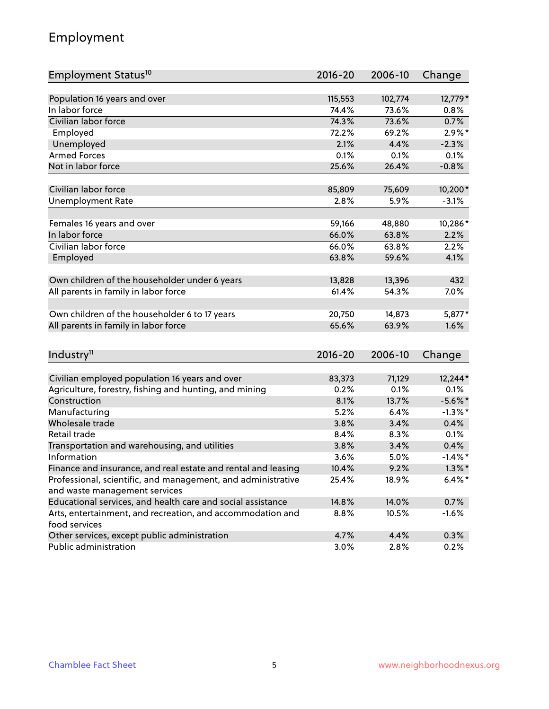# Employment

| Employment Status <sup>10</sup>                                                               | $2016 - 20$ | 2006-10 | Change     |
|-----------------------------------------------------------------------------------------------|-------------|---------|------------|
|                                                                                               |             |         |            |
| Population 16 years and over                                                                  | 115,553     | 102,774 | 12,779*    |
| In labor force                                                                                | 74.4%       | 73.6%   | $0.8\%$    |
| Civilian labor force                                                                          | 74.3%       | 73.6%   | 0.7%       |
| Employed                                                                                      | 72.2%       | 69.2%   | $2.9\%$ *  |
| Unemployed                                                                                    | 2.1%        | 4.4%    | $-2.3%$    |
| <b>Armed Forces</b>                                                                           | 0.1%        | 0.1%    | 0.1%       |
| Not in labor force                                                                            | 25.6%       | 26.4%   | $-0.8%$    |
| Civilian labor force                                                                          | 85,809      | 75,609  | 10,200*    |
| <b>Unemployment Rate</b>                                                                      | 2.8%        | 5.9%    | $-3.1%$    |
|                                                                                               |             |         |            |
| Females 16 years and over                                                                     | 59,166      | 48,880  | 10,286*    |
| In labor force                                                                                | 66.0%       | 63.8%   | 2.2%       |
| Civilian labor force                                                                          | 66.0%       | 63.8%   | 2.2%       |
| Employed                                                                                      | 63.8%       | 59.6%   | 4.1%       |
| Own children of the householder under 6 years                                                 | 13,828      | 13,396  | 432        |
| All parents in family in labor force                                                          | 61.4%       | 54.3%   | 7.0%       |
|                                                                                               |             |         |            |
| Own children of the householder 6 to 17 years                                                 | 20,750      | 14,873  | 5,877*     |
| All parents in family in labor force                                                          | 65.6%       | 63.9%   | 1.6%       |
|                                                                                               |             |         |            |
| Industry <sup>11</sup>                                                                        | $2016 - 20$ | 2006-10 | Change     |
|                                                                                               |             |         |            |
| Civilian employed population 16 years and over                                                | 83,373      | 71,129  | 12,244*    |
| Agriculture, forestry, fishing and hunting, and mining                                        | 0.2%        | 0.1%    | 0.1%       |
| Construction                                                                                  | 8.1%        | 13.7%   | $-5.6\%$ * |
| Manufacturing                                                                                 | 5.2%        | 6.4%    | $-1.3\%$ * |
| Wholesale trade                                                                               | 3.8%        | 3.4%    | 0.4%       |
| Retail trade                                                                                  | 8.4%        | 8.3%    | 0.1%       |
| Transportation and warehousing, and utilities                                                 | 3.8%        | 3.4%    | 0.4%       |
| Information                                                                                   | 3.6%        | 5.0%    | $-1.4\%$ * |
| Finance and insurance, and real estate and rental and leasing                                 | 10.4%       | 9.2%    | $1.3\%$ *  |
| Professional, scientific, and management, and administrative<br>and waste management services | 25.4%       | 18.9%   | $6.4\%$ *  |
| Educational services, and health care and social assistance                                   | 14.8%       | 14.0%   | 0.7%       |
| Arts, entertainment, and recreation, and accommodation and                                    | 8.8%        | 10.5%   | $-1.6%$    |
| food services                                                                                 |             |         |            |
| Other services, except public administration                                                  | 4.7%        | 4.4%    | 0.3%       |
| Public administration                                                                         | 3.0%        | 2.8%    | 0.2%       |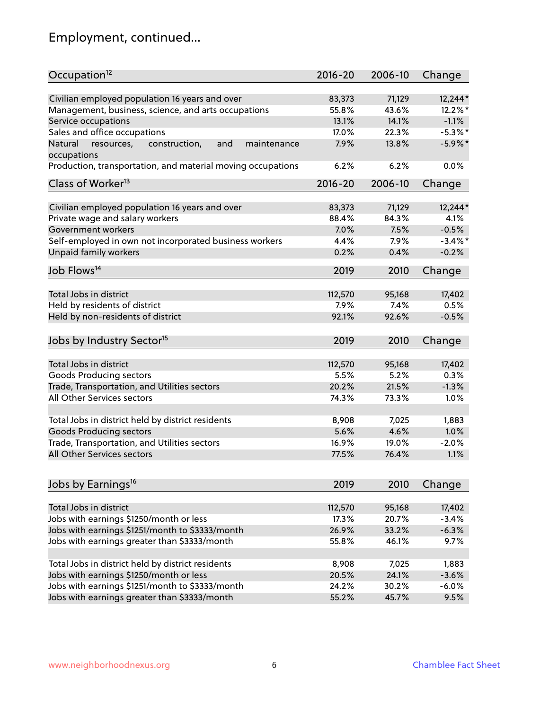# Employment, continued...

| Occupation <sup>12</sup>                                                    | $2016 - 20$ | 2006-10 | Change     |
|-----------------------------------------------------------------------------|-------------|---------|------------|
| Civilian employed population 16 years and over                              | 83,373      | 71,129  | 12,244*    |
| Management, business, science, and arts occupations                         | 55.8%       | 43.6%   | 12.2%*     |
| Service occupations                                                         | 13.1%       | 14.1%   | $-1.1%$    |
| Sales and office occupations                                                | 17.0%       | 22.3%   | $-5.3\%$ * |
|                                                                             |             |         |            |
| Natural<br>and<br>resources,<br>construction,<br>maintenance<br>occupations | 7.9%        | 13.8%   | $-5.9\%$ * |
| Production, transportation, and material moving occupations                 | 6.2%        | 6.2%    | 0.0%       |
| Class of Worker <sup>13</sup>                                               | $2016 - 20$ | 2006-10 | Change     |
|                                                                             |             |         |            |
| Civilian employed population 16 years and over                              | 83,373      | 71,129  | 12,244*    |
| Private wage and salary workers                                             | 88.4%       | 84.3%   | 4.1%       |
| Government workers                                                          | 7.0%        | 7.5%    | $-0.5%$    |
| Self-employed in own not incorporated business workers                      | 4.4%        | 7.9%    | $-3.4\%$ * |
| Unpaid family workers                                                       | 0.2%        | 0.4%    | $-0.2%$    |
| Job Flows <sup>14</sup>                                                     | 2019        | 2010    | Change     |
|                                                                             |             |         |            |
| Total Jobs in district                                                      | 112,570     | 95,168  | 17,402     |
| Held by residents of district                                               | 7.9%        | 7.4%    | 0.5%       |
| Held by non-residents of district                                           | 92.1%       | 92.6%   | $-0.5%$    |
| Jobs by Industry Sector <sup>15</sup>                                       | 2019        | 2010    | Change     |
|                                                                             |             |         |            |
| Total Jobs in district                                                      | 112,570     | 95,168  | 17,402     |
| Goods Producing sectors                                                     | 5.5%        | 5.2%    | 0.3%       |
| Trade, Transportation, and Utilities sectors                                | 20.2%       | 21.5%   | $-1.3%$    |
| All Other Services sectors                                                  | 74.3%       | 73.3%   | 1.0%       |
| Total Jobs in district held by district residents                           | 8,908       | 7,025   | 1,883      |
| <b>Goods Producing sectors</b>                                              | 5.6%        | 4.6%    | 1.0%       |
| Trade, Transportation, and Utilities sectors                                | 16.9%       | 19.0%   | $-2.0%$    |
| All Other Services sectors                                                  | 77.5%       | 76.4%   | 1.1%       |
|                                                                             |             |         |            |
| Jobs by Earnings <sup>16</sup>                                              | 2019        | 2010    | Change     |
|                                                                             |             |         |            |
| Total Jobs in district                                                      | 112,570     | 95,168  | 17,402     |
| Jobs with earnings \$1250/month or less                                     | 17.3%       | 20.7%   | $-3.4%$    |
| Jobs with earnings \$1251/month to \$3333/month                             | 26.9%       | 33.2%   | $-6.3%$    |
| Jobs with earnings greater than \$3333/month                                | 55.8%       | 46.1%   | 9.7%       |
| Total Jobs in district held by district residents                           | 8,908       | 7,025   | 1,883      |
| Jobs with earnings \$1250/month or less                                     | 20.5%       | 24.1%   | $-3.6%$    |
| Jobs with earnings \$1251/month to \$3333/month                             | 24.2%       | 30.2%   | $-6.0%$    |
| Jobs with earnings greater than \$3333/month                                | 55.2%       | 45.7%   | 9.5%       |
|                                                                             |             |         |            |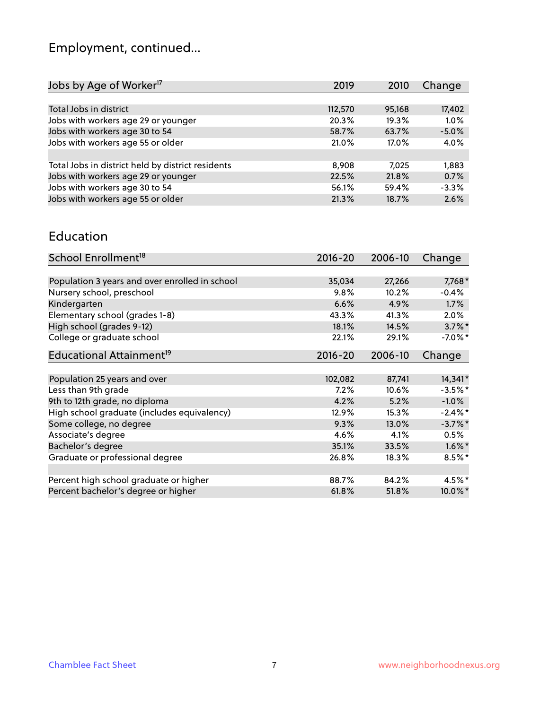# Employment, continued...

| 2019    | 2010   | Change  |
|---------|--------|---------|
|         |        |         |
| 112,570 | 95,168 | 17,402  |
| 20.3%   | 19.3%  | 1.0%    |
| 58.7%   | 63.7%  | $-5.0%$ |
| 21.0%   | 17.0%  | 4.0%    |
|         |        |         |
| 8,908   | 7.025  | 1,883   |
| 22.5%   | 21.8%  | 0.7%    |
| 56.1%   | 59.4%  | $-3.3%$ |
| 21.3%   | 18.7%  | 2.6%    |
|         |        |         |

#### Education

| School Enrollment <sup>18</sup>                | $2016 - 20$ | 2006-10 | Change     |
|------------------------------------------------|-------------|---------|------------|
|                                                |             |         |            |
| Population 3 years and over enrolled in school | 35,034      | 27,266  | 7,768*     |
| Nursery school, preschool                      | 9.8%        | 10.2%   | $-0.4%$    |
| Kindergarten                                   | 6.6%        | 4.9%    | 1.7%       |
| Elementary school (grades 1-8)                 | 43.3%       | 41.3%   | 2.0%       |
| High school (grades 9-12)                      | 18.1%       | 14.5%   | $3.7\%$ *  |
| College or graduate school                     | 22.1%       | 29.1%   | $-7.0\%$ * |
| Educational Attainment <sup>19</sup>           | $2016 - 20$ | 2006-10 | Change     |
|                                                |             |         |            |
| Population 25 years and over                   | 102,082     | 87,741  | 14,341*    |
| Less than 9th grade                            | 7.2%        | 10.6%   | $-3.5%$ *  |
| 9th to 12th grade, no diploma                  | 4.2%        | 5.2%    | $-1.0%$    |
| High school graduate (includes equivalency)    | 12.9%       | 15.3%   | $-2.4\%$ * |
| Some college, no degree                        | 9.3%        | 13.0%   | $-3.7\%$ * |
| Associate's degree                             | 4.6%        | 4.1%    | 0.5%       |
| Bachelor's degree                              | 35.1%       | 33.5%   | $1.6\%$ *  |
| Graduate or professional degree                | 26.8%       | 18.3%   | $8.5%$ *   |
|                                                |             |         |            |
| Percent high school graduate or higher         | 88.7%       | 84.2%   | 4.5%*      |
| Percent bachelor's degree or higher            | 61.8%       | 51.8%   | 10.0%*     |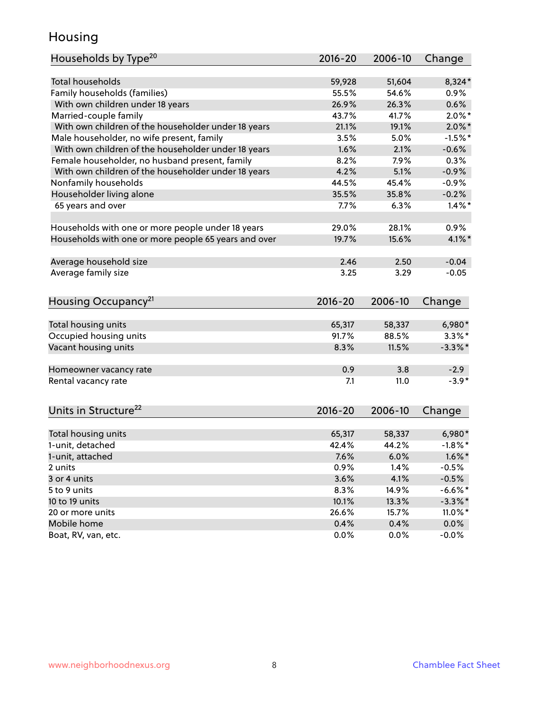### Housing

| Households by Type <sup>20</sup>                     | 2016-20     | 2006-10 | Change     |
|------------------------------------------------------|-------------|---------|------------|
|                                                      |             |         |            |
| <b>Total households</b>                              | 59,928      | 51,604  | 8,324*     |
| Family households (families)                         | 55.5%       | 54.6%   | 0.9%       |
| With own children under 18 years                     | 26.9%       | 26.3%   | 0.6%       |
| Married-couple family                                | 43.7%       | 41.7%   | $2.0\%$ *  |
| With own children of the householder under 18 years  | 21.1%       | 19.1%   | $2.0\%$ *  |
| Male householder, no wife present, family            | 3.5%        | 5.0%    | $-1.5%$ *  |
| With own children of the householder under 18 years  | 1.6%        | 2.1%    | $-0.6%$    |
| Female householder, no husband present, family       | 8.2%        | 7.9%    | 0.3%       |
| With own children of the householder under 18 years  | 4.2%        | 5.1%    | $-0.9%$    |
| Nonfamily households                                 | 44.5%       | 45.4%   | $-0.9%$    |
| Householder living alone                             | 35.5%       | 35.8%   | $-0.2%$    |
| 65 years and over                                    | 7.7%        | 6.3%    | $1.4\%$ *  |
|                                                      |             |         |            |
| Households with one or more people under 18 years    | 29.0%       | 28.1%   | 0.9%       |
| Households with one or more people 65 years and over | 19.7%       | 15.6%   | $4.1\%$ *  |
|                                                      |             |         |            |
| Average household size                               | 2.46        | 2.50    | $-0.04$    |
| Average family size                                  | 3.25        | 3.29    | $-0.05$    |
| Housing Occupancy <sup>21</sup>                      | $2016 - 20$ | 2006-10 | Change     |
| Total housing units                                  | 65,317      | 58,337  | 6,980*     |
| Occupied housing units                               | 91.7%       | 88.5%   | $3.3\%$ *  |
| Vacant housing units                                 | 8.3%        | 11.5%   | $-3.3\%$ * |
|                                                      |             |         |            |
| Homeowner vacancy rate                               | 0.9         | 3.8     | $-2.9$     |
| Rental vacancy rate                                  | 7.1         | 11.0    | $-3.9*$    |
| Units in Structure <sup>22</sup>                     | $2016 - 20$ | 2006-10 | Change     |
|                                                      |             |         |            |
| Total housing units                                  | 65,317      | 58,337  | 6,980*     |
| 1-unit, detached                                     | 42.4%       | 44.2%   | $-1.8\%$ * |
| 1-unit, attached                                     | 7.6%        | 6.0%    | $1.6\%$ *  |
| 2 units                                              | 0.9%        | 1.4%    | $-0.5%$    |
| 3 or 4 units                                         | 3.6%        | 4.1%    | $-0.5%$    |
| 5 to 9 units                                         | 8.3%        | 14.9%   | $-6.6\%$ * |
| 10 to 19 units                                       | 10.1%       | 13.3%   | $-3.3\%$ * |
| 20 or more units                                     | 26.6%       | 15.7%   | $11.0\%$ * |
| Mobile home                                          | 0.4%        | 0.4%    | $0.0\%$    |
| Boat, RV, van, etc.                                  | 0.0%        | 0.0%    | $-0.0%$    |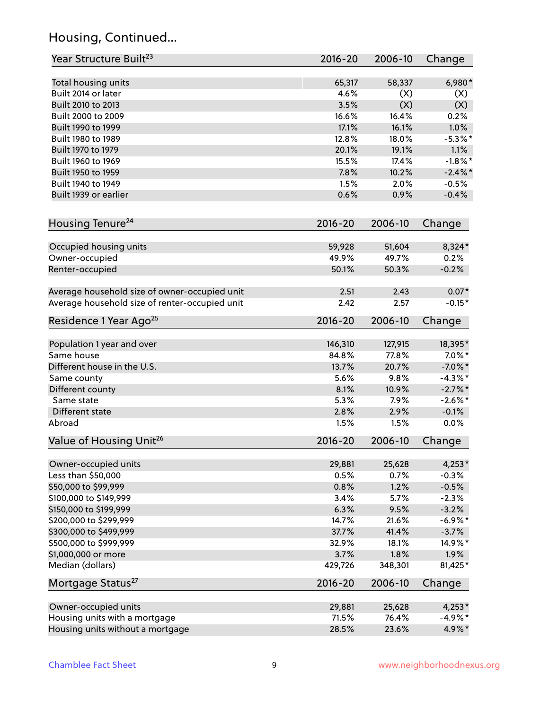# Housing, Continued...

| Year Structure Built <sup>23</sup>             | 2016-20     | 2006-10 | Change     |
|------------------------------------------------|-------------|---------|------------|
| Total housing units                            | 65,317      | 58,337  | 6,980*     |
| Built 2014 or later                            | 4.6%        | (X)     | (X)        |
| Built 2010 to 2013                             | 3.5%        | (X)     | (X)        |
| Built 2000 to 2009                             | 16.6%       | 16.4%   | 0.2%       |
| Built 1990 to 1999                             | 17.1%       | 16.1%   | 1.0%       |
| Built 1980 to 1989                             | 12.8%       | 18.0%   | $-5.3\%$ * |
| Built 1970 to 1979                             | 20.1%       | 19.1%   | 1.1%       |
| Built 1960 to 1969                             | 15.5%       | 17.4%   | $-1.8\%$ * |
| Built 1950 to 1959                             | 7.8%        | 10.2%   | $-2.4\%$ * |
| Built 1940 to 1949                             | 1.5%        | 2.0%    | $-0.5%$    |
| Built 1939 or earlier                          | 0.6%        | 0.9%    | $-0.4%$    |
| Housing Tenure <sup>24</sup>                   | $2016 - 20$ | 2006-10 | Change     |
|                                                |             |         |            |
| Occupied housing units                         | 59,928      | 51,604  | 8,324*     |
| Owner-occupied                                 | 49.9%       | 49.7%   | 0.2%       |
| Renter-occupied                                | 50.1%       | 50.3%   | $-0.2%$    |
| Average household size of owner-occupied unit  | 2.51        | 2.43    | $0.07*$    |
| Average household size of renter-occupied unit | 2.42        | 2.57    | $-0.15*$   |
| Residence 1 Year Ago <sup>25</sup>             | $2016 - 20$ | 2006-10 | Change     |
| Population 1 year and over                     | 146,310     | 127,915 | 18,395*    |
| Same house                                     | 84.8%       | 77.8%   | $7.0\%$ *  |
| Different house in the U.S.                    | 13.7%       | 20.7%   | $-7.0\%$ * |
|                                                | 5.6%        | 9.8%    | $-4.3\%$ * |
| Same county<br>Different county                | 8.1%        | 10.9%   | $-2.7\%$ * |
| Same state                                     | 5.3%        | 7.9%    | $-2.6\%$ * |
| Different state                                | 2.8%        | 2.9%    | $-0.1%$    |
| Abroad                                         | 1.5%        | 1.5%    | 0.0%       |
|                                                | $2016 - 20$ | 2006-10 |            |
| Value of Housing Unit <sup>26</sup>            |             |         | Change     |
| Owner-occupied units                           | 29,881      | 25,628  | $4,253*$   |
| Less than \$50,000                             | 0.5%        | 0.7%    | $-0.3%$    |
| \$50,000 to \$99,999                           | 0.8%        | 1.2%    | $-0.5%$    |
| \$100,000 to \$149,999                         | 3.4%        | 5.7%    | $-2.3%$    |
| \$150,000 to \$199,999                         | 6.3%        | 9.5%    | $-3.2%$    |
| \$200,000 to \$299,999                         | 14.7%       | 21.6%   | $-6.9\%$ * |
| \$300,000 to \$499,999                         | 37.7%       | 41.4%   | $-3.7%$    |
| \$500,000 to \$999,999                         | 32.9%       | 18.1%   | 14.9%*     |
| \$1,000,000 or more                            | 3.7%        | 1.8%    | 1.9%       |
| Median (dollars)                               | 429,726     | 348,301 | 81,425*    |
| Mortgage Status <sup>27</sup>                  | $2016 - 20$ | 2006-10 | Change     |
| Owner-occupied units                           | 29,881      | 25,628  | $4,253*$   |
| Housing units with a mortgage                  | 71.5%       | 76.4%   | $-4.9\%$ * |
| Housing units without a mortgage               | 28.5%       | 23.6%   | 4.9%*      |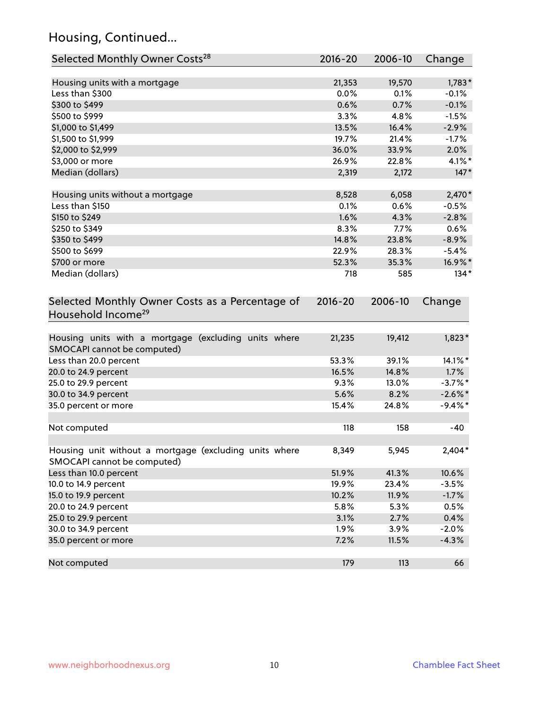# Housing, Continued...

| Selected Monthly Owner Costs <sup>28</sup>                                            | $2016 - 20$ | 2006-10 | Change     |
|---------------------------------------------------------------------------------------|-------------|---------|------------|
| Housing units with a mortgage                                                         | 21,353      | 19,570  | $1,783*$   |
| Less than \$300                                                                       | 0.0%        | 0.1%    | $-0.1%$    |
| \$300 to \$499                                                                        | 0.6%        | 0.7%    | $-0.1%$    |
| \$500 to \$999                                                                        | 3.3%        | 4.8%    | $-1.5%$    |
| \$1,000 to \$1,499                                                                    | 13.5%       | 16.4%   | $-2.9%$    |
| \$1,500 to \$1,999                                                                    | 19.7%       | 21.4%   | $-1.7%$    |
| \$2,000 to \$2,999                                                                    | 36.0%       | 33.9%   | 2.0%       |
| \$3,000 or more                                                                       | 26.9%       | 22.8%   | $4.1\%$ *  |
| Median (dollars)                                                                      | 2,319       | 2,172   | $147*$     |
| Housing units without a mortgage                                                      | 8,528       | 6,058   | $2,470*$   |
| Less than \$150                                                                       | 0.1%        | 0.6%    | $-0.5%$    |
| \$150 to \$249                                                                        | 1.6%        | 4.3%    | $-2.8%$    |
| \$250 to \$349                                                                        | 8.3%        | 7.7%    | 0.6%       |
| \$350 to \$499                                                                        | 14.8%       | 23.8%   | $-8.9%$    |
| \$500 to \$699                                                                        | 22.9%       | 28.3%   | $-5.4%$    |
| \$700 or more                                                                         | 52.3%       | 35.3%   | 16.9%*     |
| Median (dollars)                                                                      | 718         | 585     | $134*$     |
| Selected Monthly Owner Costs as a Percentage of<br>Household Income <sup>29</sup>     | $2016 - 20$ | 2006-10 | Change     |
| Housing units with a mortgage (excluding units where<br>SMOCAPI cannot be computed)   | 21,235      | 19,412  | $1,823*$   |
| Less than 20.0 percent                                                                | 53.3%       | 39.1%   | 14.1%*     |
| 20.0 to 24.9 percent                                                                  | 16.5%       | 14.8%   | 1.7%       |
| 25.0 to 29.9 percent                                                                  | 9.3%        | 13.0%   | $-3.7\%$ * |
| 30.0 to 34.9 percent                                                                  | 5.6%        | 8.2%    | $-2.6\%$ * |
| 35.0 percent or more                                                                  | 15.4%       | 24.8%   | $-9.4\%$ * |
| Not computed                                                                          | 118         | 158     | -40        |
| Housing unit without a mortgage (excluding units where<br>SMOCAPI cannot be computed) | 8,349       | 5,945   | $2,404*$   |
| Less than 10.0 percent                                                                | 51.9%       | 41.3%   | 10.6%      |
| 10.0 to 14.9 percent                                                                  | 19.9%       | 23.4%   | $-3.5%$    |
| 15.0 to 19.9 percent                                                                  | 10.2%       | 11.9%   | $-1.7%$    |
| 20.0 to 24.9 percent                                                                  | 5.8%        | 5.3%    | 0.5%       |
| 25.0 to 29.9 percent                                                                  | 3.1%        | 2.7%    | 0.4%       |
| 30.0 to 34.9 percent                                                                  | 1.9%        | 3.9%    | $-2.0%$    |
| 35.0 percent or more                                                                  | 7.2%        | 11.5%   | $-4.3%$    |
| Not computed                                                                          | 179         | 113     | 66         |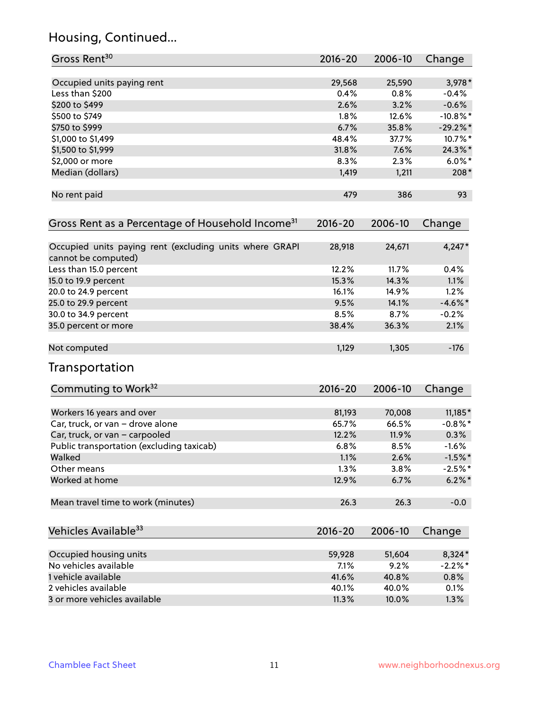# Housing, Continued...

| Gross Rent <sup>30</sup>                                                       | 2016-20     | 2006-10 | Change      |
|--------------------------------------------------------------------------------|-------------|---------|-------------|
| Occupied units paying rent                                                     | 29,568      | 25,590  | $3,978*$    |
| Less than \$200                                                                | 0.4%        | 0.8%    | $-0.4%$     |
| \$200 to \$499                                                                 | 2.6%        | 3.2%    | $-0.6%$     |
| \$500 to \$749                                                                 | 1.8%        | 12.6%   | $-10.8\%$ * |
| \$750 to \$999                                                                 | 6.7%        | 35.8%   | $-29.2%$    |
| \$1,000 to \$1,499                                                             | 48.4%       | 37.7%   | 10.7%*      |
| \$1,500 to \$1,999                                                             | 31.8%       | 7.6%    | 24.3%*      |
| \$2,000 or more                                                                | 8.3%        | 2.3%    | $6.0\%$ *   |
| Median (dollars)                                                               | 1,419       | 1,211   | $208*$      |
| No rent paid                                                                   | 479         | 386     | 93          |
| Gross Rent as a Percentage of Household Income <sup>31</sup>                   | $2016 - 20$ | 2006-10 | Change      |
| Occupied units paying rent (excluding units where GRAPI<br>cannot be computed) | 28,918      | 24,671  | $4,247*$    |
| Less than 15.0 percent                                                         | 12.2%       | 11.7%   | 0.4%        |
| 15.0 to 19.9 percent                                                           | 15.3%       | 14.3%   | 1.1%        |
| 20.0 to 24.9 percent                                                           | 16.1%       | 14.9%   | 1.2%        |
| 25.0 to 29.9 percent                                                           | 9.5%        | 14.1%   | $-4.6\%$ *  |
| 30.0 to 34.9 percent                                                           | 8.5%        | 8.7%    | $-0.2%$     |
| 35.0 percent or more                                                           | 38.4%       | 36.3%   | 2.1%        |
| Not computed                                                                   | 1,129       | 1,305   | $-176$      |
| Transportation                                                                 |             |         |             |
| Commuting to Work <sup>32</sup>                                                | 2016-20     | 2006-10 | Change      |
| Workers 16 years and over                                                      | 81,193      | 70,008  | $11,185*$   |
| Car, truck, or van - drove alone                                               | 65.7%       | 66.5%   | $-0.8\%$ *  |
| Car, truck, or van - carpooled                                                 | 12.2%       | 11.9%   | 0.3%        |
| Public transportation (excluding taxicab)                                      | 6.8%        | 8.5%    | $-1.6%$     |
| Walked                                                                         | 1.1%        | 2.6%    | $-1.5%$ *   |
| Other means                                                                    | 1.3%        | 3.8%    | $-2.5%$ *   |
| Worked at home                                                                 | 12.9%       | 6.7%    | $6.2\%$ *   |
| Mean travel time to work (minutes)                                             | 26.3        | 26.3    | $-0.0$      |
| Vehicles Available <sup>33</sup>                                               | $2016 - 20$ | 2006-10 | Change      |
| Occupied housing units                                                         | 59,928      | 51,604  | 8,324*      |
| No vehicles available                                                          | 7.1%        | 9.2%    | $-2.2%$ *   |
| 1 vehicle available                                                            | 41.6%       | 40.8%   | 0.8%        |
| 2 vehicles available                                                           | 40.1%       | 40.0%   | 0.1%        |
| 3 or more vehicles available                                                   | 11.3%       | 10.0%   | 1.3%        |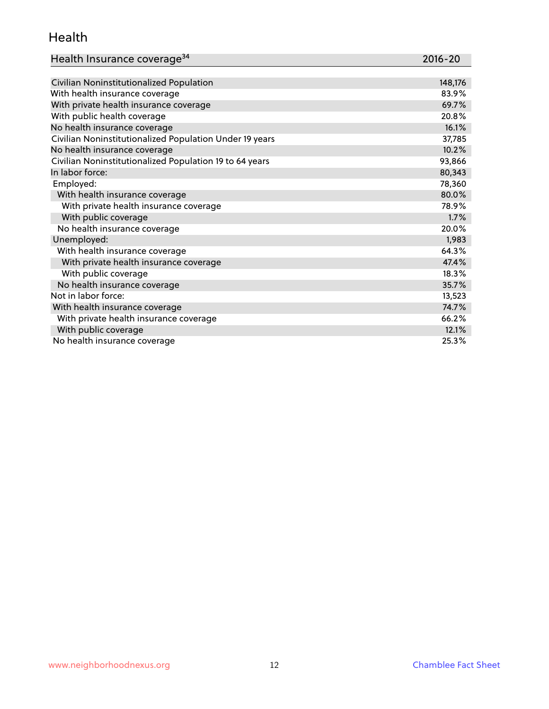#### Health

| Health Insurance coverage <sup>34</sup> | 2016-20 |
|-----------------------------------------|---------|
|-----------------------------------------|---------|

| Civilian Noninstitutionalized Population                | 148,176 |
|---------------------------------------------------------|---------|
| With health insurance coverage                          | 83.9%   |
| With private health insurance coverage                  | 69.7%   |
| With public health coverage                             | 20.8%   |
| No health insurance coverage                            | 16.1%   |
| Civilian Noninstitutionalized Population Under 19 years | 37,785  |
| No health insurance coverage                            | 10.2%   |
| Civilian Noninstitutionalized Population 19 to 64 years | 93,866  |
| In labor force:                                         | 80,343  |
| Employed:                                               | 78,360  |
| With health insurance coverage                          | 80.0%   |
| With private health insurance coverage                  | 78.9%   |
| With public coverage                                    | 1.7%    |
| No health insurance coverage                            | 20.0%   |
| Unemployed:                                             | 1,983   |
| With health insurance coverage                          | 64.3%   |
| With private health insurance coverage                  | 47.4%   |
| With public coverage                                    | 18.3%   |
| No health insurance coverage                            | 35.7%   |
| Not in labor force:                                     | 13,523  |
| With health insurance coverage                          | 74.7%   |
| With private health insurance coverage                  | 66.2%   |
| With public coverage                                    | 12.1%   |
| No health insurance coverage                            | 25.3%   |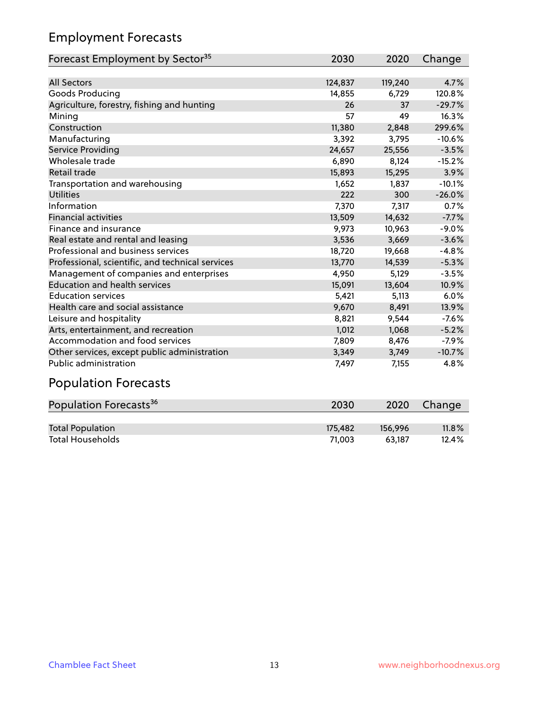# Employment Forecasts

| Forecast Employment by Sector <sup>35</sup>      | 2030    | 2020    | Change   |
|--------------------------------------------------|---------|---------|----------|
|                                                  |         |         |          |
| <b>All Sectors</b>                               | 124,837 | 119,240 | 4.7%     |
| Goods Producing                                  | 14,855  | 6,729   | 120.8%   |
| Agriculture, forestry, fishing and hunting       | 26      | 37      | $-29.7%$ |
| Mining                                           | 57      | 49      | 16.3%    |
| Construction                                     | 11,380  | 2,848   | 299.6%   |
| Manufacturing                                    | 3,392   | 3,795   | $-10.6%$ |
| <b>Service Providing</b>                         | 24,657  | 25,556  | $-3.5%$  |
| Wholesale trade                                  | 6,890   | 8,124   | $-15.2%$ |
| Retail trade                                     | 15,893  | 15,295  | 3.9%     |
| Transportation and warehousing                   | 1,652   | 1,837   | $-10.1%$ |
| <b>Utilities</b>                                 | 222     | 300     | $-26.0%$ |
| Information                                      | 7,370   | 7,317   | 0.7%     |
| <b>Financial activities</b>                      | 13,509  | 14,632  | $-7.7%$  |
| Finance and insurance                            | 9,973   | 10,963  | $-9.0%$  |
| Real estate and rental and leasing               | 3,536   | 3,669   | $-3.6%$  |
| Professional and business services               | 18,720  | 19,668  | $-4.8%$  |
| Professional, scientific, and technical services | 13,770  | 14,539  | $-5.3%$  |
| Management of companies and enterprises          | 4,950   | 5,129   | $-3.5%$  |
| <b>Education and health services</b>             | 15,091  | 13,604  | 10.9%    |
| <b>Education services</b>                        | 5,421   | 5,113   | 6.0%     |
| Health care and social assistance                | 9,670   | 8,491   | 13.9%    |
| Leisure and hospitality                          | 8,821   | 9,544   | $-7.6%$  |
| Arts, entertainment, and recreation              | 1,012   | 1,068   | $-5.2%$  |
| Accommodation and food services                  | 7,809   | 8,476   | $-7.9%$  |
| Other services, except public administration     | 3,349   | 3,749   | $-10.7%$ |
| <b>Public administration</b>                     | 7,497   | 7,155   | 4.8%     |

# Population Forecasts

| Population Forecasts <sup>36</sup> | 2030    | 2020    | Change   |
|------------------------------------|---------|---------|----------|
|                                    |         |         |          |
| <b>Total Population</b>            | 175.482 | 156.996 | $11.8\%$ |
| <b>Total Households</b>            | 71.003  | 63.187  | 12.4%    |